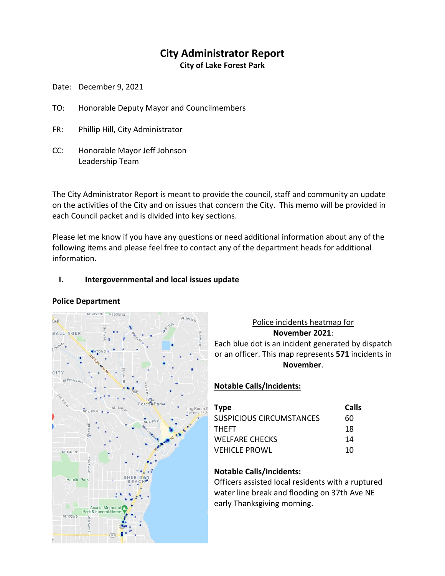# **City Administrator Report**

**City of Lake Forest Park**

Date: December 9, 2021

- TO: Honorable Deputy Mayor and Councilmembers
- FR: Phillip Hill, City Administrator
- CC: Honorable Mayor Jeff Johnson Leadership Team

The City Administrator Report is meant to provide the council, staff and community an update on the activities of the City and on issues that concern the City. This memo will be provided in each Council packet and is divided into key sections.

Please let me know if you have any questions or need additional information about any of the following items and please feel free to contact any of the department heads for additional information.

### **I. Intergovernmental and local issues update**

#### **Police Department**



## Police incidents heatmap for **November 2021**: Each blue dot is an incident generated by dispatch or an officer. This map represents **571** incidents in **November**.

# **Notable Calls/Incidents:**

| <b>Type</b>              | Calls |
|--------------------------|-------|
| SUSPICIOUS CIRCUMSTANCES | 60    |
| <b>THFFT</b>             | 18    |
| <b>WELFARE CHECKS</b>    | 14    |
| <b>VEHICLE PROWL</b>     | 10    |

# **Notable Calls/Incidents:**

Officers assisted local residents with a ruptured water line break and flooding on 37th Ave NE early Thanksgiving morning.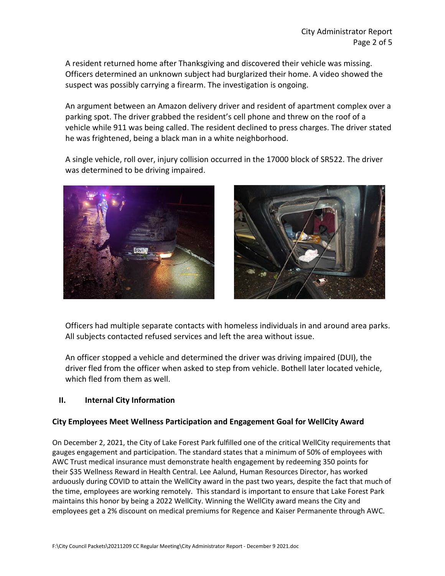A resident returned home after Thanksgiving and discovered their vehicle was missing. Officers determined an unknown subject had burglarized their home. A video showed the suspect was possibly carrying a firearm. The investigation is ongoing.

An argument between an Amazon delivery driver and resident of apartment complex over a parking spot. The driver grabbed the resident's cell phone and threw on the roof of a vehicle while 911 was being called. The resident declined to press charges. The driver stated he was frightened, being a black man in a white neighborhood.

A single vehicle, roll over, injury collision occurred in the 17000 block of SR522. The driver was determined to be driving impaired.





Officers had multiple separate contacts with homeless individuals in and around area parks. All subjects contacted refused services and left the area without issue.

An officer stopped a vehicle and determined the driver was driving impaired (DUI), the driver fled from the officer when asked to step from vehicle. Bothell later located vehicle, which fled from them as well.

# **II. Internal City Information**

# **City Employees Meet Wellness Participation and Engagement Goal for WellCity Award**

On December 2, 2021, the City of Lake Forest Park fulfilled one of the critical WellCity requirements that gauges engagement and participation. The standard states that a minimum of 50% of employees with AWC Trust medical insurance must demonstrate health engagement by redeeming 350 points for their \$35 Wellness Reward in Health Central. Lee Aalund, Human Resources Director, has worked arduously during COVID to attain the WellCity award in the past two years, despite the fact that much of the time, employees are working remotely. This standard is important to ensure that Lake Forest Park maintains this honor by being a 2022 WellCity. Winning the WellCity award means the City and employees get a 2% discount on medical premiums for Regence and Kaiser Permanente through AWC.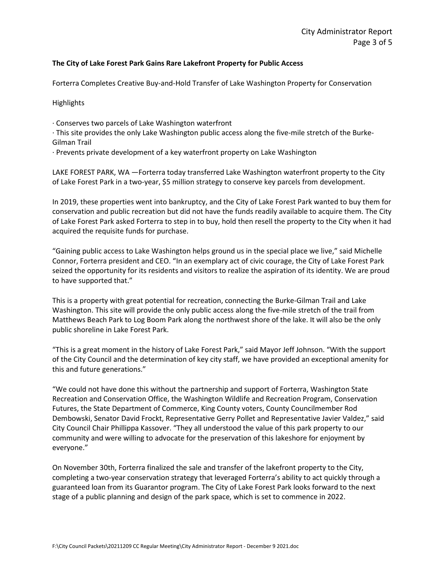#### **The City of Lake Forest Park Gains Rare Lakefront Property for Public Access**

Forterra Completes Creative Buy-and-Hold Transfer of Lake Washington Property for Conservation

Highlights

· Conserves two parcels of Lake Washington waterfront

· This site provides the only Lake Washington public access along the five-mile stretch of the Burke-Gilman Trail

· Prevents private development of a key waterfront property on Lake Washington

LAKE FOREST PARK, WA —Forterra today transferred Lake Washington waterfront property to the City of Lake Forest Park in a two-year, \$5 million strategy to conserve key parcels from development.

In 2019, these properties went into bankruptcy, and the City of Lake Forest Park wanted to buy them for conservation and public recreation but did not have the funds readily available to acquire them. The City of Lake Forest Park asked Forterra to step in to buy, hold then resell the property to the City when it had acquired the requisite funds for purchase.

"Gaining public access to Lake Washington helps ground us in the special place we live," said Michelle Connor, Forterra president and CEO. "In an exemplary act of civic courage, the City of Lake Forest Park seized the opportunity for its residents and visitors to realize the aspiration of its identity. We are proud to have supported that."

This is a property with great potential for recreation, connecting the Burke-Gilman Trail and Lake Washington. This site will provide the only public access along the five-mile stretch of the trail from Matthews Beach Park to Log Boom Park along the northwest shore of the lake. It will also be the only public shoreline in Lake Forest Park.

"This is a great moment in the history of Lake Forest Park," said Mayor Jeff Johnson. "With the support of the City Council and the determination of key city staff, we have provided an exceptional amenity for this and future generations."

"We could not have done this without the partnership and support of Forterra, Washington State Recreation and Conservation Office, the Washington Wildlife and Recreation Program, Conservation Futures, the State Department of Commerce, King County voters, County Councilmember Rod Dembowski, Senator David Frockt, Representative Gerry Pollet and Representative Javier Valdez," said City Council Chair Phillippa Kassover. "They all understood the value of this park property to our community and were willing to advocate for the preservation of this lakeshore for enjoyment by everyone."

On November 30th, Forterra finalized the sale and transfer of the lakefront property to the City, completing a two-year conservation strategy that leveraged Forterra's ability to act quickly through a guaranteed loan from its Guarantor program. The City of Lake Forest Park looks forward to the next stage of a public planning and design of the park space, which is set to commence in 2022.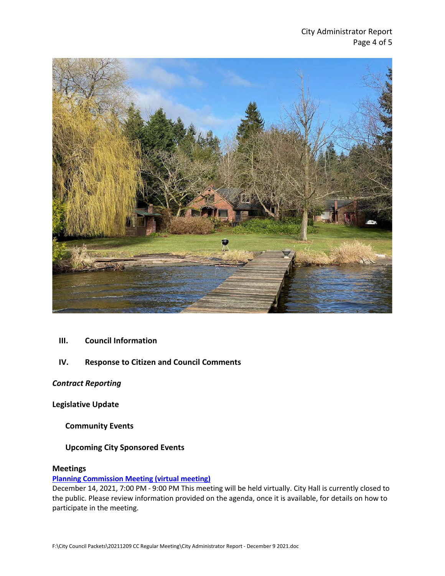

- **III. Council Information**
- **IV. Response to Citizen and Council Comments**

*Contract Reporting*

**Legislative Update**

**Community Events**

**Upcoming City Sponsored Events**

#### **Meetings**

#### **[Planning Commission Meeting \(virtual meeting\)](https://www.cityoflfp.com/Calendar.aspx?EID=2123&month=12&year=2021&day=3&calType=0)**

December 14, 2021, 7:00 PM - 9:00 PM This meeting will be held virtually. City Hall is currently closed to the public. Please review information provided on the agenda, once it is available, for details on how to participate in the meeting.